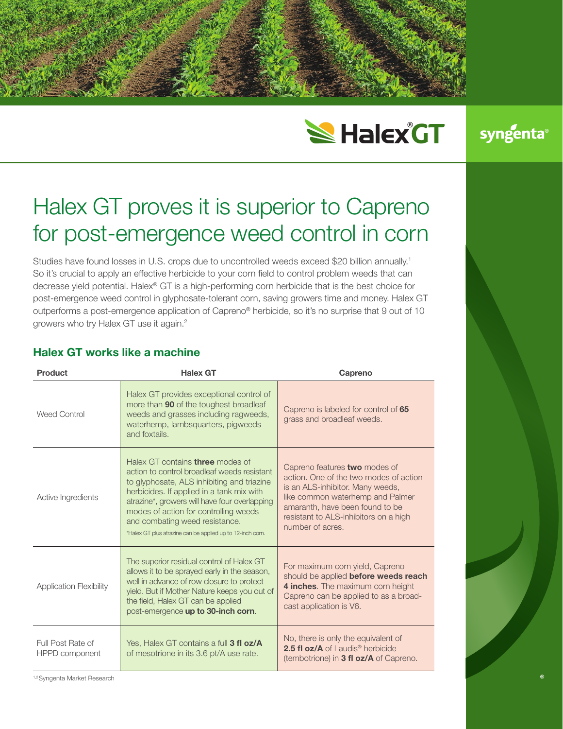# **SHalex GT**

syngenta

# Halex GT proves it is superior to Capreno for post-emergence weed control in corn

Studies have found losses in U.S. crops due to uncontrolled weeds exceed \$20 billion annually.<sup>1</sup> So it's crucial to apply an effective herbicide to your corn field to control problem weeds that can decrease yield potential. Halex® GT is a high-performing corn herbicide that is the best choice for post-emergence weed control in glyphosate-tolerant corn, saving growers time and money. Halex GT outperforms a post-emergence application of Capreno® herbicide, so it's no surprise that 9 out of 10 growers who try Halex GT use it again.2

| <b>Product</b>                      | <b>Halex GT</b>                                                                                                                                                                                                                                                                                                                                                             | Capreno                                                                                                                                                                                                                                         |
|-------------------------------------|-----------------------------------------------------------------------------------------------------------------------------------------------------------------------------------------------------------------------------------------------------------------------------------------------------------------------------------------------------------------------------|-------------------------------------------------------------------------------------------------------------------------------------------------------------------------------------------------------------------------------------------------|
| Weed Control                        | Halex GT provides exceptional control of<br>more than 90 of the toughest broadleaf<br>weeds and grasses including ragweeds,<br>waterhemp, lambsquarters, pigweeds<br>and foxtails.                                                                                                                                                                                          | Capreno is labeled for control of 65<br>grass and broadleaf weeds.                                                                                                                                                                              |
| Active Ingredients                  | Halex GT contains <b>three</b> modes of<br>action to control broadleaf weeds resistant<br>to glyphosate, ALS inhibiting and triazine<br>herbicides. If applied in a tank mix with<br>atrazine*, growers will have four overlapping<br>modes of action for controlling weeds<br>and combating weed resistance.<br>*Halex GT plus atrazine can be applied up to 12-inch corn. | Capreno features two modes of<br>action. One of the two modes of action<br>is an ALS-inhibitor. Many weeds,<br>like common waterhemp and Palmer<br>amaranth, have been found to be<br>resistant to ALS-inhibitors on a high<br>number of acres. |
| <b>Application Flexibility</b>      | The superior residual control of Halex GT<br>allows it to be sprayed early in the season,<br>well in advance of row closure to protect<br>yield. But if Mother Nature keeps you out of<br>the field, Halex GT can be applied<br>post-emergence up to 30-inch corn.                                                                                                          | For maximum corn yield, Capreno<br>should be applied before weeds reach<br>4 inches. The maximum corn height<br>Capreno can be applied to as a broad-<br>cast application is V6.                                                                |
| Full Post Rate of<br>HPPD component | Yes, Halex GT contains a full 3 fl oz/A<br>of mesotrione in its 3.6 pt/A use rate.                                                                                                                                                                                                                                                                                          | No, there is only the equivalent of<br>2.5 fl oz/A of Laudis <sup>®</sup> herbicide<br>(tembotrione) in 3 fl oz/A of Capreno.                                                                                                                   |

# **Halex GT works like a machine**

1,2Syngenta Market Research